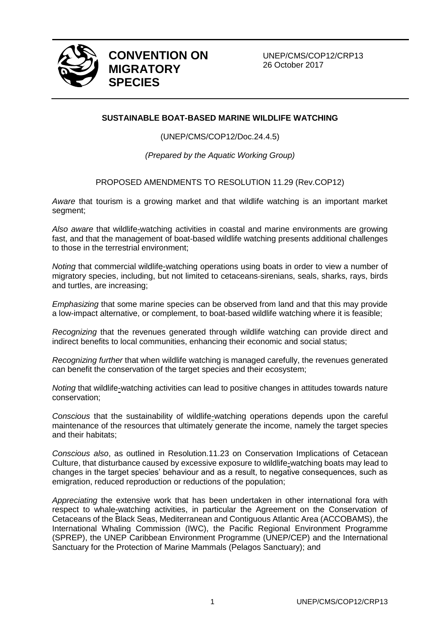

**CONVENTION ON MIGRATORY SPECIES**

UNEP/CMS/COP12/CRP13 26 October 2017

## **SUSTAINABLE BOAT-BASED MARINE WILDLIFE WATCHING**

(UNEP/CMS/COP12/Doc.24.4.5)

*(Prepared by the Aquatic Working Group)*

PROPOSED AMENDMENTS TO RESOLUTION 11.29 (Rev.COP12)

*Aware* that tourism is a growing market and that wildlife watching is an important market segment;

*Also aware* that wildlife-watching activities in coastal and marine environments are growing fast, and that the management of boat-based wildlife watching presents additional challenges to those in the terrestrial environment;

*Noting* that commercial wildlife-watching operations using boats in order to view a number of migratory species, including, but not limited to cetaceans-sirenians, seals, sharks, rays, birds and turtles, are increasing;

*Emphasizing* that some marine species can be observed from land and that this may provide a low-impact alternative, or complement, to boat-based wildlife watching where it is feasible;

*Recognizing* that the revenues generated through wildlife watching can provide direct and indirect benefits to local communities, enhancing their economic and social status;

*Recognizing further* that when wildlife watching is managed carefully, the revenues generated can benefit the conservation of the target species and their ecosystem;

*Noting* that wildlife-watching activities can lead to positive changes in attitudes towards nature conservation;

*Conscious* that the sustainability of wildlife-watching operations depends upon the careful maintenance of the resources that ultimately generate the income, namely the target species and their habitats;

*Conscious also*, as outlined in Resolution.11.23 on Conservation Implications of Cetacean Culture, that disturbance caused by excessive exposure to wildlife-watching boats may lead to changes in the target species' behaviour and as a result, to negative consequences, such as emigration, reduced reproduction or reductions of the population;

*Appreciating* the extensive work that has been undertaken in other international fora with respect to whale-watching activities, in particular the Agreement on the Conservation of Cetaceans of the Black Seas, Mediterranean and Contiguous Atlantic Area (ACCOBAMS), the International Whaling Commission (IWC), the Pacific Regional Environment Programme (SPREP), the UNEP Caribbean Environment Programme (UNEP/CEP) and the International Sanctuary for the Protection of Marine Mammals (Pelagos Sanctuary); and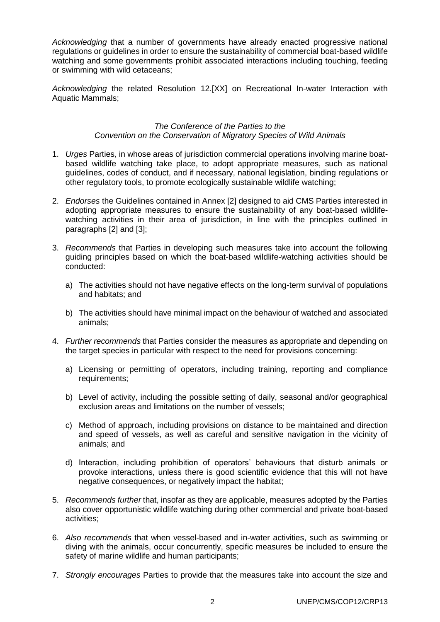*Acknowledging* that a number of governments have already enacted progressive national regulations or guidelines in order to ensure the sustainability of commercial boat-based wildlife watching and some governments prohibit associated interactions including touching, feeding or swimming with wild cetaceans;

*Acknowledging* the related Resolution 12.[XX] on Recreational In-water Interaction with Aquatic Mammals;

#### *The Conference of the Parties to the Convention on the Conservation of Migratory Species of Wild Animals*

- 1. *Urges* Parties, in whose areas of jurisdiction commercial operations involving marine boatbased wildlife watching take place, to adopt appropriate measures, such as national guidelines, codes of conduct, and if necessary, national legislation, binding regulations or other regulatory tools, to promote ecologically sustainable wildlife watching;
- 2. *Endorses* the Guidelines contained in Annex [2] designed to aid CMS Parties interested in adopting appropriate measures to ensure the sustainability of any boat-based wildlifewatching activities in their area of jurisdiction, in line with the principles outlined in paragraphs [2] and [3];
- 3. *Recommends* that Parties in developing such measures take into account the following guiding principles based on which the boat-based wildlife-watching activities should be conducted:
	- a) The activities should not have negative effects on the long-term survival of populations and habitats; and
	- b) The activities should have minimal impact on the behaviour of watched and associated animals;
- 4. *Further recommends* that Parties consider the measures as appropriate and depending on the target species in particular with respect to the need for provisions concerning:
	- a) Licensing or permitting of operators, including training, reporting and compliance requirements;
	- b) Level of activity, including the possible setting of daily, seasonal and/or geographical exclusion areas and limitations on the number of vessels;
	- c) Method of approach, including provisions on distance to be maintained and direction and speed of vessels, as well as careful and sensitive navigation in the vicinity of animals; and
	- d) Interaction, including prohibition of operators' behaviours that disturb animals or provoke interactions, unless there is good scientific evidence that this will not have negative consequences, or negatively impact the habitat;
- 5. *Recommends further* that, insofar as they are applicable, measures adopted by the Parties also cover opportunistic wildlife watching during other commercial and private boat-based activities;
- 6. *Also recommends* that when vessel-based and in-water activities, such as swimming or diving with the animals, occur concurrently, specific measures be included to ensure the safety of marine wildlife and human participants;
- 7. *Strongly encourages* Parties to provide that the measures take into account the size and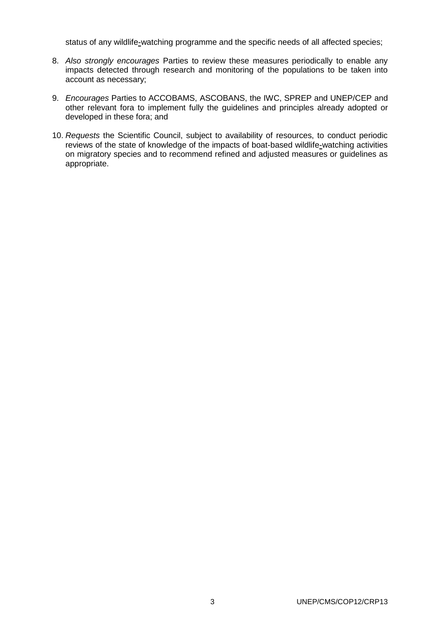status of any wildlife-watching programme and the specific needs of all affected species;

- 8. *Also strongly encourages* Parties to review these measures periodically to enable any impacts detected through research and monitoring of the populations to be taken into account as necessary;
- 9. *Encourages* Parties to ACCOBAMS, ASCOBANS, the IWC, SPREP and UNEP/CEP and other relevant fora to implement fully the guidelines and principles already adopted or developed in these fora; and
- 10. *Requests* the Scientific Council, subject to availability of resources, to conduct periodic reviews of the state of knowledge of the impacts of boat-based wildlife-watching activities on migratory species and to recommend refined and adjusted measures or guidelines as appropriate.